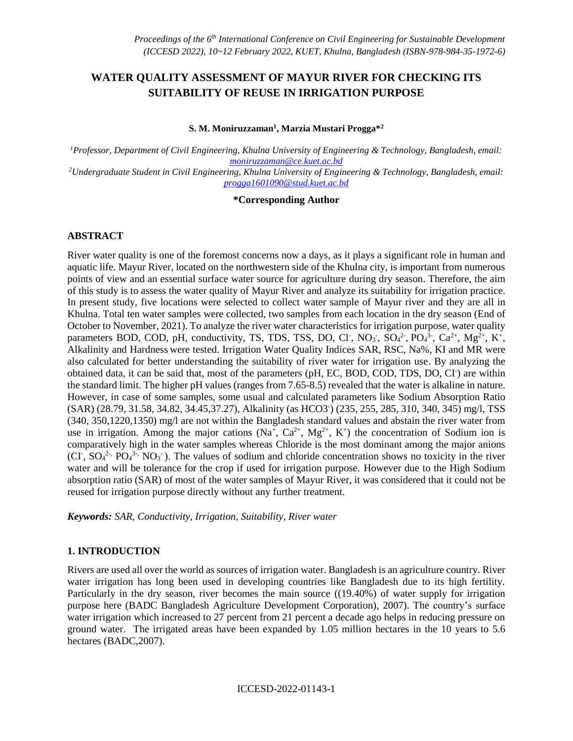# **WATER QUALITY ASSESSMENT OF MAYUR RIVER FOR CHECKING ITS SUITABILITY OF REUSE IN IRRIGATION PURPOSE**

#### **S. M. Moniruzzaman<sup>1</sup> , Marzia Mustari Progga\*<sup>2</sup>**

*<sup>1</sup>Professor, Department of Civil Engineering, Khulna University of Engineering & Technology, Bangladesh, email: [moniruzzaman@ce.kuet.ac.bd](mailto:moniruzzaman@ce.kuet.ac.bd) <sup>2</sup>Undergraduate Student in Civil Engineering, Khulna University of Engineering & Technology, Bangladesh, email:* 

*[progga1601090@stud.kuet.ac.bd](file:///C:/Users/R/AppData/Local/Temp/progga1601090@stud.kuet.ac.bd)*

#### **\*Corresponding Author**

#### **ABSTRACT**

River water quality is one of the foremost concerns now a days, as it plays a significant role in human and aquatic life. Mayur River, located on the northwestern side of the Khulna city, is important from numerous points of view and an essential surface water source for agriculture during dry season. Therefore, the aim of this study is to assess the water quality of Mayur River and analyze its suitability for irrigation practice. In present study, five locations were selected to collect water sample of Mayur river and they are all in Khulna. Total ten water samples were collected, two samples from each location in the dry season (End of October to November, 2021). To analyze the river water characteristics for irrigation purpose, water quality parameters BOD, COD, pH, conductivity, TS, TDS, TSS, DO, Cl<sup>-</sup>, NO<sub>3</sub>, SO<sub>4</sub><sup>2</sup>, PO<sub>4</sub><sup>3-</sup>, Ca<sup>2+</sup>, Mg<sup>2+</sup>, K<sup>+</sup>, Alkalinity and Hardness were tested. Irrigation Water Quality Indices SAR, RSC, Na%, KI and MR were also calculated for better understanding the suitability of river water for irrigation use. By analyzing the obtained data, it can be said that, most of the parameters (pH, EC, BOD, COD, TDS, DO, CI) are within the standard limit. The higher pH values (ranges from 7.65-8.5) revealed that the water is alkaline in nature. However, in case of some samples, some usual and calculated parameters like Sodium Absorption Ratio (SAR) (28.79, 31.58, 34.82, 34.45,37.27), Alkalinity (as HCO3- ) (235, 255, 285, 310, 340, 345) mg/l, TSS (340, 350,1220,1350) mg/l are not within the Bangladesh standard values and abstain the river water from use in irrigation. Among the major cations  $(Na^+, Ca^{2+}, Mg^{2+}, K^+)$  the concentration of Sodium ion is comparatively high in the water samples whereas Chloride is the most dominant among the major anions (CI,  $SO_4^{2}$ ,  $PO_4^{3}$ ,  $NO_3$ ). The values of sodium and chloride concentration shows no toxicity in the river water and will be tolerance for the crop if used for irrigation purpose. However due to the High Sodium absorption ratio (SAR) of most of the water samples of Mayur River, it was considered that it could not be reused for irrigation purpose directly without any further treatment.

*Keywords: SAR, Conductivity, Irrigation, Suitability, River water*

### **1. INTRODUCTION**

Rivers are used all over the world as sources of irrigation water. Bangladesh is an agriculture country. River water irrigation has long been used in developing countries like Bangladesh due to its high fertility. Particularly in the dry season, river becomes the main source ((19.40%) of water supply for irrigation purpose here (BADC Bangladesh Agriculture Development Corporation), 2007). The country's surface water irrigation which increased to 27 percent from 21 percent a decade ago helps in reducing pressure on ground water. The irrigated areas have been expanded by 1.05 million hectares in the 10 years to 5.6 hectares (BADC,2007).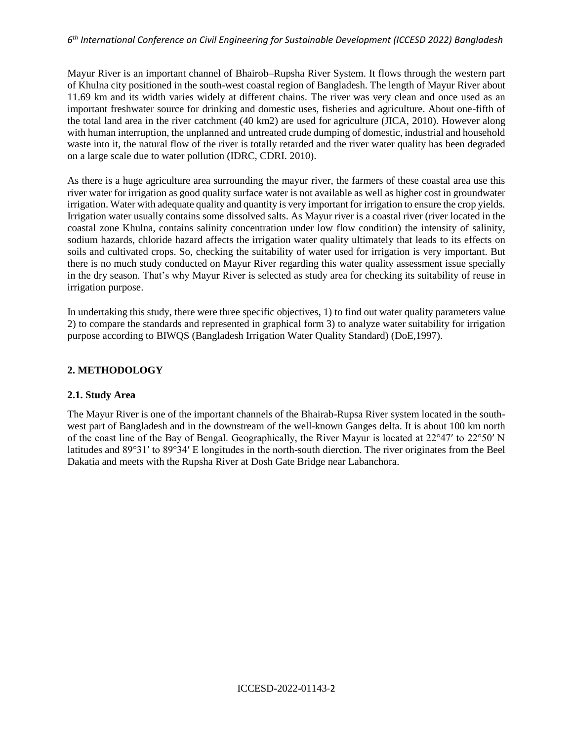### *6 th International Conference on Civil Engineering for Sustainable Development (ICCESD 2022) Bangladesh*

Mayur River is an important channel of Bhairob–Rupsha River System. It flows through the western part of Khulna city positioned in the south-west coastal region of Bangladesh. The length of Mayur River about 11.69 km and its width varies widely at different chains. The river was very clean and once used as an important freshwater source for drinking and domestic uses, fisheries and agriculture. About one-fifth of the total land area in the river catchment (40 km2) are used for agriculture (JICA, 2010). However along with human interruption, the unplanned and untreated crude dumping of domestic, industrial and household waste into it, the natural flow of the river is totally retarded and the river water quality has been degraded on a large scale due to water pollution (IDRC, CDRI. 2010).

As there is a huge agriculture area surrounding the mayur river, the farmers of these coastal area use this river water for irrigation as good quality surface water is not available as well as higher cost in groundwater irrigation. Water with adequate quality and quantity is very important for irrigation to ensure the crop yields. Irrigation water usually contains some dissolved salts. As Mayur river is a coastal river (river located in the coastal zone Khulna, contains salinity concentration under low flow condition) the intensity of salinity, sodium hazards, chloride hazard affects the irrigation water quality ultimately that leads to its effects on soils and cultivated crops. So, checking the suitability of water used for irrigation is very important. But there is no much study conducted on Mayur River regarding this water quality assessment issue specially in the dry season. That's why Mayur River is selected as study area for checking its suitability of reuse in irrigation purpose.

In undertaking this study, there were three specific objectives, 1) to find out water quality parameters value 2) to compare the standards and represented in graphical form 3) to analyze water suitability for irrigation purpose according to BIWQS (Bangladesh Irrigation Water Quality Standard) (DoE,1997).

## **2. METHODOLOGY**

## **2.1. Study Area**

The Mayur River is one of the important channels of the Bhairab-Rupsa River system located in the southwest part of Bangladesh and in the downstream of the well-known Ganges delta. It is about 100 km north of the coast line of the Bay of Bengal. Geographically, the River Mayur is located at 22°47ʹ to 22°50ʹ N latitudes and 89°31ʹ to 89°34ʹ E longitudes in the north-south dierction. The river originates from the Beel Dakatia and meets with the Rupsha River at Dosh Gate Bridge near Labanchora.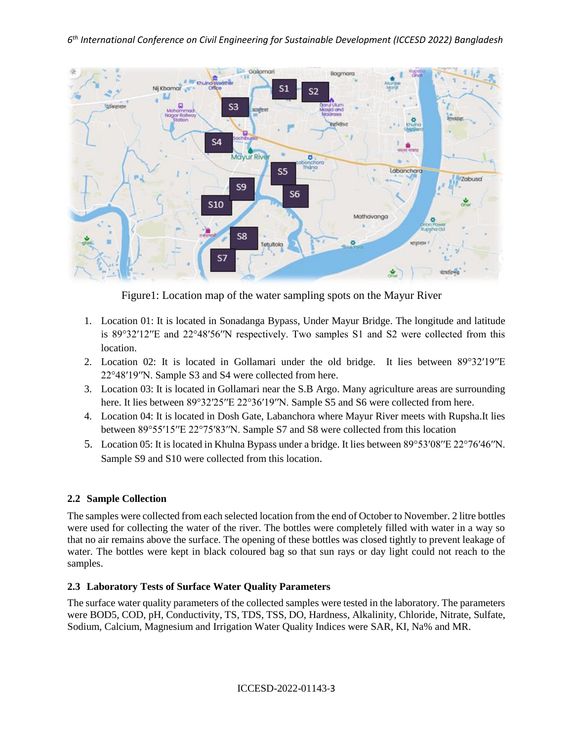

Figure1: Location map of the water sampling spots on the Mayur River

- 1. Location 01: It is located in Sonadanga Bypass, Under Mayur Bridge. The longitude and latitude is 89°32ʹ12ʹʹE and 22°48ʹ56ʹʹN respectively. Two samples S1 and S2 were collected from this location.
- 2. Location 02: It is located in Gollamari under the old bridge. It lies between 89°32ʹ19ʹʹE 22°48ʹ19ʹʹN. Sample S3 and S4 were collected from here.
- 3. Location 03: It is located in Gollamari near the S.B Argo. Many agriculture areas are surrounding here. It lies between 89°32′25′′E 22°36′19′′N. Sample S5 and S6 were collected from here.
- 4. Location 04: It is located in Dosh Gate, Labanchora where Mayur River meets with Rupsha.It lies between 89°55ʹ15ʹʹE 22°75ʹ83ʹʹN. Sample S7 and S8 were collected from this location
- 5. Location 05: It is located in Khulna Bypass under a bridge. It lies between 89°53ʹ08ʹʹE 22°76ʹ46ʹʹN. Sample S9 and S10 were collected from this location.

# **2.2 Sample Collection**

The samples were collected from each selected location from the end of October to November. 2 litre bottles were used for collecting the water of the river. The bottles were completely filled with water in a way so that no air remains above the surface. The opening of these bottles was closed tightly to prevent leakage of water. The bottles were kept in black coloured bag so that sun rays or day light could not reach to the samples.

# **2.3 Laboratory Tests of Surface Water Quality Parameters**

The surface water quality parameters of the collected samples were tested in the laboratory. The parameters were BOD5, COD, pH, Conductivity, TS, TDS, TSS, DO, Hardness, Alkalinity, Chloride, Nitrate, Sulfate, Sodium, Calcium, Magnesium and Irrigation Water Quality Indices were SAR, KI, Na% and MR.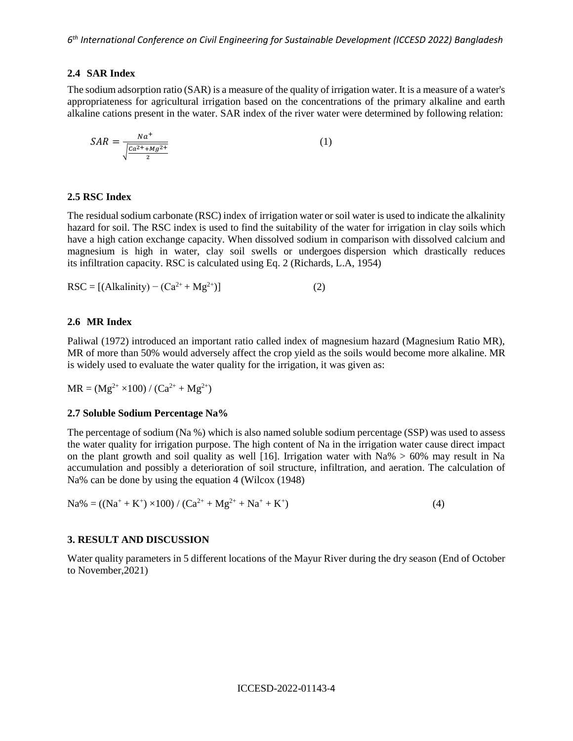### **2.4 SAR Index**

The sodium adsorption ratio (SAR) is a measure of the quality of irrigation water. It is a measure of a water's appropriateness for agricultural irrigation based on the concentrations of the primary alkaline and earth alkaline cations present in the water. SAR index of the river water were determined by following relation:

$$
SAR = \frac{Na^{+}}{\sqrt{\frac{Ca^{2+} + Mg^{2+}}{2}}}
$$
\n<sup>(1)</sup>

### **2.5 RSC Index**

The residual sodium carbonate (RSC) index of irrigation water or soil water is used to indicate the alkalinity hazard for soil. The RSC index is used to find the suitability of the water for irrigation in clay soils which have a high cation exchange capacity. When dissolved sodium in comparison with dissolved calcium and magnesium is high in water, clay soil swells or undergoes dispersion which drastically reduces its infiltration capacity. RSC is calculated using Eq. 2 (Richards, L.A, 1954)

$$
RSC = [(Alkalinity) - (Ca2+ + Mg2+)]
$$
 (2)

### **2.6 MR Index**

Paliwal (1972) introduced an important ratio called index of magnesium hazard (Magnesium Ratio MR), MR of more than 50% would adversely affect the crop yield as the soils would become more alkaline. MR is widely used to evaluate the water quality for the irrigation, it was given as:

 $MR = (Mg^{2+} \times 100) / (Ca^{2+} + Mg^{2+})$ 

#### **2.7 Soluble Sodium Percentage Na%**

The percentage of sodium (Na %) which is also named soluble sodium percentage (SSP) was used to assess the water quality for irrigation purpose. The high content of Na in the irrigation water cause direct impact on the plant growth and soil quality as well [16]. Irrigation water with  $Na\% > 60\%$  may result in Na accumulation and possibly a deterioration of soil structure, infiltration, and aeration. The calculation of Na% can be done by using the equation 4 (Wilcox (1948)

$$
Na\% = ((Na^{+} + K^{+}) \times 100) / (Ca^{2+} + Mg^{2+} + Na^{+} + K^{+})
$$
\n(4)

### **3. RESULT AND DISCUSSION**

Water quality parameters in 5 different locations of the Mayur River during the dry season (End of October to November,2021)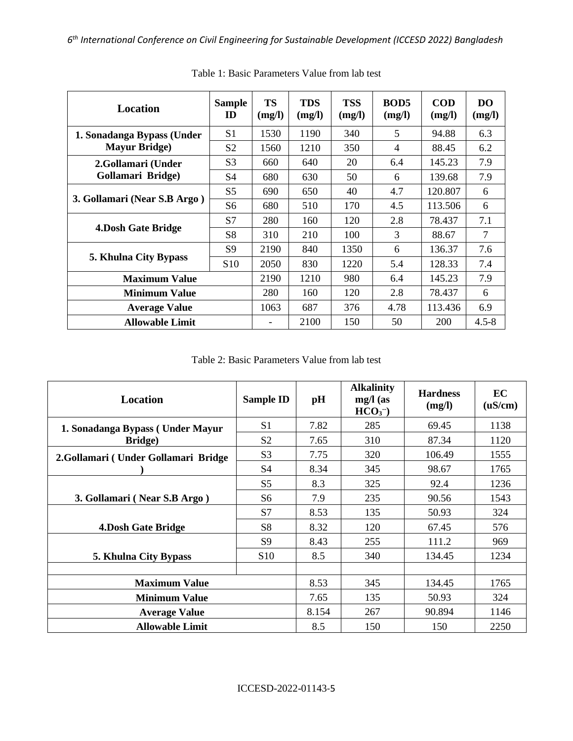| Location                     | <b>Sample</b><br>ID | <b>TS</b><br>(mg/l) | <b>TDS</b><br>(mg/l) | <b>TSS</b><br>(mg/l) | <b>BOD5</b><br>(mg/l) | <b>COD</b><br>(mg/l) | DO.<br>(mg/l)  |
|------------------------------|---------------------|---------------------|----------------------|----------------------|-----------------------|----------------------|----------------|
| 1. Sonadanga Bypass (Under   | S <sub>1</sub>      | 1530                | 1190                 | 340                  | 5                     | 94.88                | 6.3            |
| <b>Mayur Bridge</b> )        | S <sub>2</sub>      | 1560                | 1210                 | 350                  | 4                     | 88.45                | 6.2            |
| 2.Gollamari (Under           | S <sub>3</sub>      | 660                 | 640                  | 20                   | 6.4                   | 145.23               | 7.9            |
| Gollamari Bridge)            | S <sub>4</sub>      | 680                 | 630                  | 50                   | 6                     | 139.68               | 7.9            |
| 3. Gollamari (Near S.B Argo) | S <sub>5</sub>      | 690                 | 650                  | 40                   | 4.7                   | 120.807              | 6              |
|                              | S <sub>6</sub>      | 680                 | 510                  | 170                  | 4.5                   | 113.506              | 6              |
|                              | S7                  | 280                 | 160                  | 120                  | 2.8                   | 78.437               | 7.1            |
| 4. Dosh Gate Bridge          | S <sub>8</sub>      | 310                 | 210                  | 100                  | 3                     | 88.67                | $\overline{7}$ |
|                              | S <sub>9</sub>      | 2190                | 840                  | 1350                 | 6                     | 136.37               | 7.6            |
| <b>5. Khulna City Bypass</b> | S <sub>10</sub>     | 2050                | 830                  | 1220                 | 5.4                   | 128.33               | 7.4            |
| <b>Maximum Value</b>         |                     | 2190                | 1210                 | 980                  | 6.4                   | 145.23               | 7.9            |
| <b>Minimum Value</b>         |                     | 280                 | 160                  | 120                  | 2.8                   | 78.437               | 6              |
| <b>Average Value</b>         |                     | 1063                | 687                  | 376                  | 4.78                  | 113.436              | 6.9            |
| <b>Allowable Limit</b>       |                     |                     | 2100                 | 150                  | 50                    | 200                  | $4.5 - 8$      |

Table 1: Basic Parameters Value from lab test

Table 2: Basic Parameters Value from lab test

| <b>Location</b>                      | <b>Sample ID</b> | pH    | <b>Alkalinity</b><br>$mg/l$ (as<br>$HCO3-$ | <b>Hardness</b><br>(mg/l) | EC<br>(uS/cm) |
|--------------------------------------|------------------|-------|--------------------------------------------|---------------------------|---------------|
| 1. Sonadanga Bypass (Under Mayur     | S <sub>1</sub>   | 7.82  | 285                                        | 69.45                     | 1138          |
| Bridge)                              | S <sub>2</sub>   | 7.65  | 310                                        | 87.34                     | 1120          |
| 2. Gollamari (Under Gollamari Bridge | S <sub>3</sub>   | 7.75  | 320                                        | 106.49                    | 1555          |
|                                      | S <sub>4</sub>   | 8.34  | 345                                        | 98.67                     | 1765          |
|                                      | S <sub>5</sub>   | 8.3   | 325                                        | 92.4                      | 1236          |
| 3. Gollamari (Near S.B Argo)         | S6               | 7.9   | 235                                        | 90.56                     | 1543          |
|                                      | S7               | 8.53  | 135                                        | 50.93                     | 324           |
| <b>4.Dosh Gate Bridge</b>            | S <sub>8</sub>   | 8.32  | 120                                        | 67.45                     | 576           |
|                                      | S <sub>9</sub>   | 8.43  | 255                                        | 111.2                     | 969           |
| 5. Khulna City Bypass                | S <sub>10</sub>  | 8.5   | 340                                        | 134.45                    | 1234          |
|                                      |                  |       |                                            |                           |               |
| <b>Maximum Value</b>                 |                  | 8.53  | 345                                        | 134.45                    | 1765          |
| <b>Minimum Value</b>                 |                  | 7.65  | 135                                        | 50.93                     | 324           |
| <b>Average Value</b>                 |                  | 8.154 | 267                                        | 90.894                    | 1146          |
| <b>Allowable Limit</b>               |                  | 8.5   | 150                                        | 150                       | 2250          |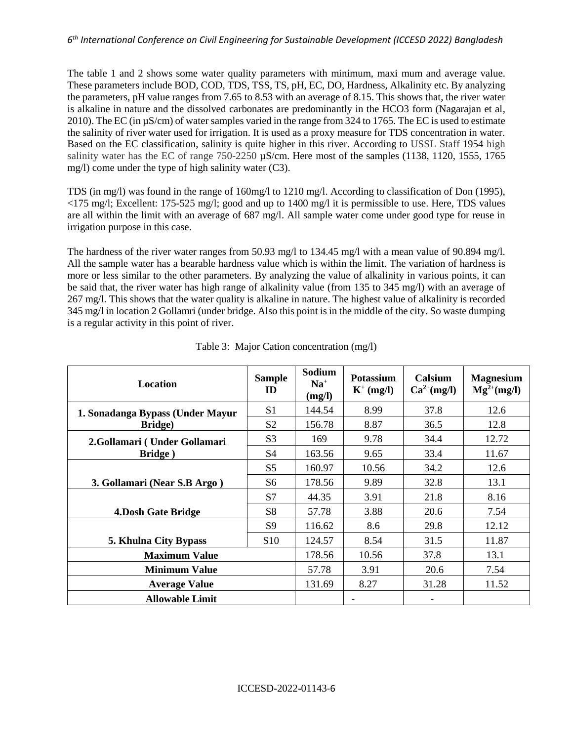### *6 th International Conference on Civil Engineering for Sustainable Development (ICCESD 2022) Bangladesh*

The table 1 and 2 shows some water quality parameters with minimum, maxi mum and average value. These parameters include BOD, COD, TDS, TSS, TS, pH, EC, DO, Hardness, Alkalinity etc. By analyzing the parameters, pH value ranges from 7.65 to 8.53 with an average of 8.15. This shows that, the river water is alkaline in nature and the dissolved carbonates are predominantly in the HCO3 form (Nagarajan et al, 2010). The EC (in µS/cm) of water samples varied in the range from 324 to 1765. The EC is used to estimate the salinity of river water used for irrigation. It is used as a proxy measure for TDS concentration in water. Based on the EC classification, salinity is quite higher in this river. According to USSL Staff 1954 high salinity water has the EC of range 750-2250  $\mu$ S/cm. Here most of the samples (1138, 1120, 1555, 1765 mg/l) come under the type of high salinity water (C3).

TDS (in mg/l) was found in the range of 160mg/l to 1210 mg/l. According to classification of Don (1995), <175 mg/l; Excellent: 175-525 mg/l; good and up to 1400 mg/l it is permissible to use. Here, TDS values are all within the limit with an average of 687 mg/l. All sample water come under good type for reuse in irrigation purpose in this case.

The hardness of the river water ranges from 50.93 mg/l to 134.45 mg/l with a mean value of 90.894 mg/l. All the sample water has a bearable hardness value which is within the limit. The variation of hardness is more or less similar to the other parameters. By analyzing the value of alkalinity in various points, it can be said that, the river water has high range of alkalinity value (from 135 to 345 mg/l) with an average of 267 mg/l. This shows that the water quality is alkaline in nature. The highest value of alkalinity is recorded 345 mg/l in location 2 Gollamri (under bridge. Also this point is in the middle of the city. So waste dumping is a regular activity in this point of river.

| <b>Location</b>                  | <b>Sample</b><br>ID | Sodium<br>$Na+$<br>(mg/l) | <b>Potassium</b><br>$K^+$ (mg/l) | <b>Calsium</b><br>$Ca^{2+}(mg/l)$ | <b>Magnesium</b><br>$Mg^{2+}(mg/l)$ |
|----------------------------------|---------------------|---------------------------|----------------------------------|-----------------------------------|-------------------------------------|
| 1. Sonadanga Bypass (Under Mayur | S <sub>1</sub>      | 144.54                    | 8.99                             | 37.8                              | 12.6                                |
| <b>Bridge</b> )                  | S <sub>2</sub>      | 156.78                    | 8.87                             | 36.5                              | 12.8                                |
| 2. Gollamari (Under Gollamari    | S <sub>3</sub>      | 169                       | 9.78                             | 34.4                              | 12.72                               |
| Bridge)                          | S <sub>4</sub>      | 163.56                    | 9.65                             | 33.4                              | 11.67                               |
|                                  | S <sub>5</sub>      | 160.97                    | 10.56                            | 34.2                              | 12.6                                |
| 3. Gollamari (Near S.B Argo)     | S <sub>6</sub>      | 178.56                    | 9.89                             | 32.8                              | 13.1                                |
|                                  | S7                  | 44.35                     | 3.91                             | 21.8                              | 8.16                                |
| <b>4.Dosh Gate Bridge</b>        | S <sub>8</sub>      | 57.78                     | 3.88                             | 20.6                              | 7.54                                |
|                                  | S <sub>9</sub>      | 116.62                    | 8.6                              | 29.8                              | 12.12                               |
| <b>5. Khulna City Bypass</b>     | S <sub>10</sub>     | 124.57                    | 8.54                             | 31.5                              | 11.87                               |
| <b>Maximum Value</b>             |                     | 178.56                    | 10.56                            | 37.8                              | 13.1                                |
| <b>Minimum Value</b>             |                     | 57.78                     | 3.91                             | 20.6                              | 7.54                                |
| <b>Average Value</b>             |                     | 131.69                    | 8.27                             | 31.28                             | 11.52                               |
| <b>Allowable Limit</b>           |                     |                           |                                  |                                   |                                     |

|  | Table 3: Major Cation concentration (mg/l) |  |
|--|--------------------------------------------|--|
|  |                                            |  |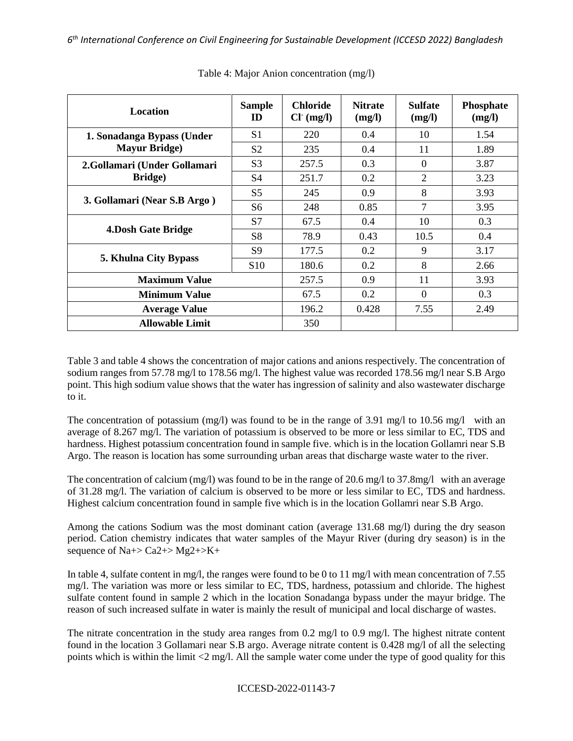| <b>Location</b>               | <b>Sample</b><br>ID | <b>Chloride</b><br>$Cl^{(mg/l)}$ | <b>Nitrate</b><br>(mg/l) | <b>Sulfate</b><br>(mg/l) | <b>Phosphate</b><br>(mg/l) |
|-------------------------------|---------------------|----------------------------------|--------------------------|--------------------------|----------------------------|
| 1. Sonadanga Bypass (Under    | S <sub>1</sub>      | 220                              | $0.4^{\circ}$            | 10                       | 1.54                       |
| <b>Mayur Bridge</b> )         | S <sub>2</sub>      | 235                              | 0.4                      | 11                       | 1.89                       |
| 2. Gollamari (Under Gollamari | S <sub>3</sub>      | 257.5                            | 0.3                      | $\Omega$                 | 3.87                       |
| <b>Bridge</b> )               | S4                  | 251.7                            | 0.2                      | $\overline{2}$           | 3.23                       |
|                               | S <sub>5</sub>      | 245                              | 0.9                      | 8                        | 3.93                       |
| 3. Gollamari (Near S.B Argo)  | S <sub>6</sub>      | 248                              | 0.85                     | 7                        | 3.95                       |
|                               | S <sub>7</sub>      | 67.5                             | 0.4                      | 10                       | 0.3                        |
| <b>4.Dosh Gate Bridge</b>     | S <sub>8</sub>      | 78.9                             | 0.43                     | 10.5                     | 0.4                        |
|                               | S <sub>9</sub>      | 177.5                            | 0.2                      | 9                        | 3.17                       |
| <b>5. Khulna City Bypass</b>  | S <sub>10</sub>     | 180.6                            | 0.2                      | 8                        | 2.66                       |
| <b>Maximum Value</b>          |                     | 257.5                            | 0.9                      | 11                       | 3.93                       |
| <b>Minimum Value</b>          |                     | 67.5                             | 0.2                      | $\Omega$                 | 0.3                        |
| <b>Average Value</b>          |                     | 196.2                            | 0.428                    | 7.55                     | 2.49                       |
| <b>Allowable Limit</b>        |                     | 350                              |                          |                          |                            |

Table 4: Major Anion concentration (mg/l)

Table 3 and table 4 shows the concentration of major cations and anions respectively. The concentration of sodium ranges from 57.78 mg/l to 178.56 mg/l. The highest value was recorded 178.56 mg/l near S.B Argo point. This high sodium value shows that the water has ingression of salinity and also wastewater discharge to it.

The concentration of potassium (mg/l) was found to be in the range of 3.91 mg/l to 10.56 mg/l with an average of 8.267 mg/l. The variation of potassium is observed to be more or less similar to EC, TDS and hardness. Highest potassium concentration found in sample five. which is in the location Gollamri near S.B Argo. The reason is location has some surrounding urban areas that discharge waste water to the river.

The concentration of calcium (mg/l) was found to be in the range of 20.6 mg/l to 37.8mg/l with an average of 31.28 mg/l. The variation of calcium is observed to be more or less similar to EC, TDS and hardness. Highest calcium concentration found in sample five which is in the location Gollamri near S.B Argo.

Among the cations Sodium was the most dominant cation (average 131.68 mg/l) during the dry season period. Cation chemistry indicates that water samples of the Mayur River (during dry season) is in the sequence of  $Na + > Ca2 + > Mg2 + > K +$ 

In table 4, sulfate content in mg/l, the ranges were found to be 0 to 11 mg/l with mean concentration of 7.55 mg/l. The variation was more or less similar to EC, TDS, hardness, potassium and chloride. The highest sulfate content found in sample 2 which in the location Sonadanga bypass under the mayur bridge. The reason of such increased sulfate in water is mainly the result of municipal and local discharge of wastes.

The nitrate concentration in the study area ranges from 0.2 mg/l to 0.9 mg/l. The highest nitrate content found in the location 3 Gollamari near S.B argo. Average nitrate content is 0.428 mg/l of all the selecting points which is within the limit <2 mg/l. All the sample water come under the type of good quality for this

ICCESD-2022-01143-7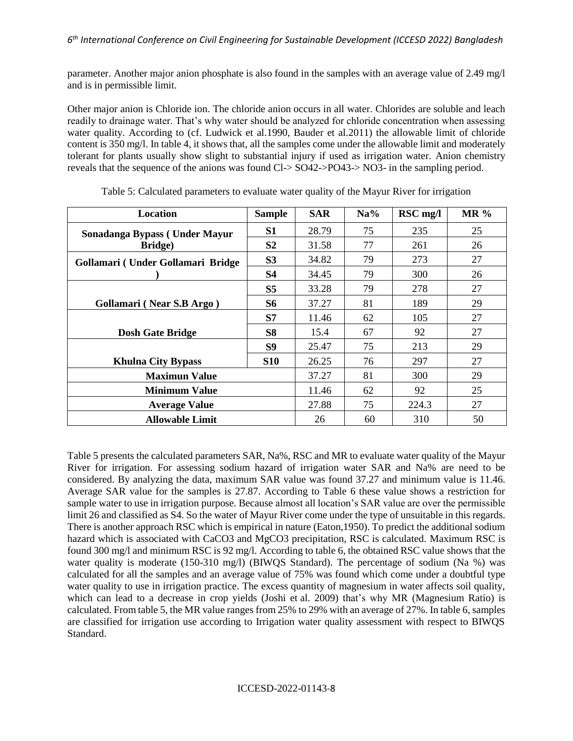parameter. Another major anion phosphate is also found in the samples with an average value of 2.49 mg/l and is in permissible limit.

Other major anion is Chloride ion. The chloride anion occurs in all water. Chlorides are soluble and leach readily to drainage water. That's why water should be analyzed for chloride concentration when assessing water quality. According to (cf. Ludwick et al.1990, Bauder et al.2011) the allowable limit of chloride content is 350 mg/l. In table 4, it shows that, all the samples come under the allowable limit and moderately tolerant for plants usually show slight to substantial injury if used as irrigation water. Anion chemistry reveals that the sequence of the anions was found Cl-> SO42->PO43-> NO3- in the sampling period.

| Location                          | <b>Sample</b>  | <b>SAR</b> | Na% | RSC mg/l | $MR\%$ |
|-----------------------------------|----------------|------------|-----|----------|--------|
| Sonadanga Bypass (Under Mayur     | S1             | 28.79      | 75  | 235      | 25     |
| <b>Bridge</b> )                   | S <sub>2</sub> | 31.58      | 77  | 261      | 26     |
| Gollamari (Under Gollamari Bridge | S <sub>3</sub> | 34.82      | 79  | 273      | 27     |
|                                   | S4             | 34.45      | 79  | 300      | 26     |
|                                   | S <sub>5</sub> | 33.28      | 79  | 278      | 27     |
| Gollamari (Near S.B Argo)         | <b>S6</b>      | 37.27      | 81  | 189      | 29     |
|                                   | S7             | 11.46      | 62  | 105      | 27     |
| <b>Dosh Gate Bridge</b>           | <b>S8</b>      | 15.4       | 67  | 92       | 27     |
|                                   | S9             | 25.47      | 75  | 213      | 29     |
| <b>Khulna City Bypass</b>         | <b>S10</b>     | 26.25      | 76  | 297      | 27     |
| <b>Maximun Value</b>              |                | 37.27      | 81  | 300      | 29     |
| <b>Minimum Value</b>              |                | 11.46      | 62  | 92       | 25     |
| <b>Average Value</b>              |                | 27.88      | 75  | 224.3    | 27     |
| <b>Allowable Limit</b>            |                | 26         | 60  | 310      | 50     |

| Table 5: Calculated parameters to evaluate water quality of the Mayur River for irrigation |  |
|--------------------------------------------------------------------------------------------|--|
|                                                                                            |  |

Table 5 presents the calculated parameters SAR, Na%, RSC and MR to evaluate water quality of the Mayur River for irrigation. For assessing sodium hazard of irrigation water SAR and Na% are need to be considered. By analyzing the data, maximum SAR value was found 37.27 and minimum value is 11.46. Average SAR value for the samples is 27.87. According to Table 6 these value shows a restriction for sample water to use in irrigation purpose. Because almost all location's SAR value are over the permissible limit 26 and classified as S4. So the water of Mayur River come under the type of unsuitable in this regards. There is another approach RSC which is empirical in nature (Eaton,1950). To predict the additional sodium hazard which is associated with CaCO3 and MgCO3 precipitation, RSC is calculated. Maximum RSC is found 300 mg/l and minimum RSC is 92 mg/l. According to table 6, the obtained RSC value shows that the water quality is moderate (150-310 mg/l) (BIWOS Standard). The percentage of sodium (Na %) was calculated for all the samples and an average value of 75% was found which come under a doubtful type water quality to use in irrigation practice. The excess quantity of magnesium in water affects soil quality, which can lead to a decrease in crop yields (Joshi et al. 2009) that's why MR (Magnesium Ratio) is calculated. From table 5, the MR value ranges from 25% to 29% with an average of 27%. In table 6, samples are classified for irrigation use according to Irrigation water quality assessment with respect to BIWQS Standard.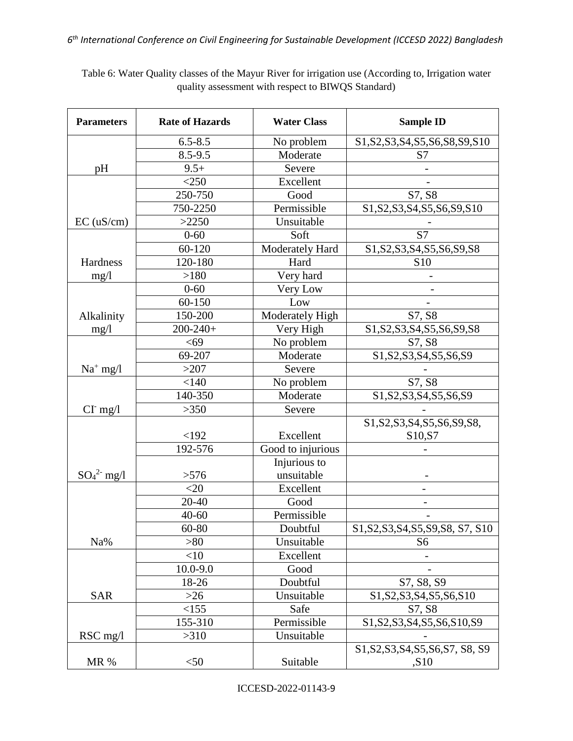| <b>Parameters</b> | <b>Rate of Hazards</b> | <b>Water Class</b> | <b>Sample ID</b>                                                                                                                 |
|-------------------|------------------------|--------------------|----------------------------------------------------------------------------------------------------------------------------------|
|                   | $6.5 - 8.5$            | No problem         | S1, S2, S3, S4, S5, S6, S8, S9, S10                                                                                              |
|                   | $8.5 - 9.5$            | Moderate           | S7                                                                                                                               |
| pH                | $9.5+$                 | Severe             |                                                                                                                                  |
|                   | $<$ 250                | Excellent          |                                                                                                                                  |
|                   | 250-750                | Good               | S7, S8                                                                                                                           |
|                   | 750-2250               | Permissible        | S1, S2, S3, S4, S5, S6, S9, S10                                                                                                  |
| $EC$ (uS/cm)      | >2250                  | Unsuitable         |                                                                                                                                  |
|                   | $0 - 60$               | Soft               | S7                                                                                                                               |
|                   | 60-120                 | Moderately Hard    | S1, S2, S3, S4, S5, S6, S9, S8                                                                                                   |
| Hardness          | 120-180                | Hard               | S <sub>10</sub>                                                                                                                  |
| mg/1              | >180                   | Very hard          |                                                                                                                                  |
|                   | $0 - 60$               | Very Low           |                                                                                                                                  |
|                   | 60-150                 | Low                |                                                                                                                                  |
| Alkalinity        | 150-200                | Moderately High    | S7, S8                                                                                                                           |
| mg/1              | $200 - 240 +$          | Very High          | S1, S2, S3, S4, S5, S6, S9, S8                                                                                                   |
|                   | < 69                   | No problem         | S7, S8                                                                                                                           |
|                   | 69-207                 | Moderate           | $\overline{S1}$ , S2, S3, S4, S5, S6, S9                                                                                         |
| $Na^+$ mg/l       | >207                   | Severe             |                                                                                                                                  |
|                   | < 140                  | No problem         | S7, S8                                                                                                                           |
|                   | 140-350                | Moderate           | S1, S2, S3, S4, S5, S6, S9                                                                                                       |
| $CI$ mg/l         | >350                   | Severe             |                                                                                                                                  |
|                   |                        |                    | S <sub>1</sub> ,S <sub>2</sub> ,S <sub>3</sub> ,S <sub>4</sub> ,S <sub>5</sub> ,S <sub>6</sub> ,S <sub>9</sub> ,S <sub>8</sub> , |
|                   | <192                   | Excellent          | S10, S7                                                                                                                          |
|                   | 192-576                | Good to injurious  |                                                                                                                                  |
|                   |                        | Injurious to       |                                                                                                                                  |
| $SO_4^2$ - mg/l   | >576                   | unsuitable         |                                                                                                                                  |
|                   | $<$ 20                 | Excellent          |                                                                                                                                  |
|                   | 20-40                  | Good               |                                                                                                                                  |
|                   | $40 - 60$              | Permissible        |                                                                                                                                  |
|                   | 60-80                  | Doubtful           | S1, S2, S3, S4, S5, S9, S8, S7, S10                                                                                              |
| Na%               | >80                    | Unsuitable         | S <sub>6</sub>                                                                                                                   |
|                   | $<$ 10                 | Excellent          |                                                                                                                                  |
|                   | $10.0 - 9.0$           | Good               |                                                                                                                                  |
|                   | 18-26                  | Doubtful           | S7, S8, S9                                                                                                                       |
| <b>SAR</b>        | $>26$                  | Unsuitable         | S1, S2, S3, S4, S5, S6, S10                                                                                                      |
|                   | <155                   | Safe               | S7, S8                                                                                                                           |
|                   | 155-310                | Permissible        | S1, S2, S3, S4, S5, S6, S10, S9                                                                                                  |
| $RSC$ mg/l        | >310                   | Unsuitable         |                                                                                                                                  |
|                   |                        |                    | S1, S2, S3, S4, S5, S6, S7, S8, S9                                                                                               |
| MR %              | $<$ 50                 | Suitable           | , S10                                                                                                                            |

Table 6: Water Quality classes of the Mayur River for irrigation use (According to, Irrigation water quality assessment with respect to BIWQS Standard)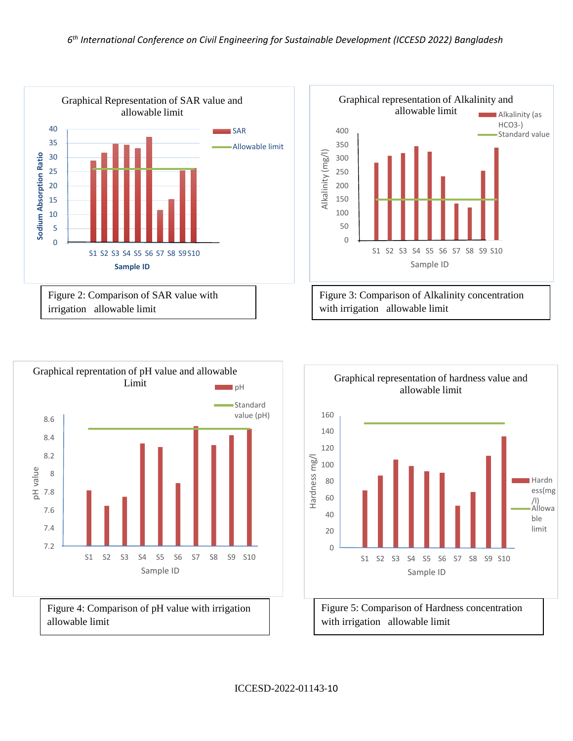



Figure 4: Comparison of pH value with irrigation allowable limit





with irrigation allowable limit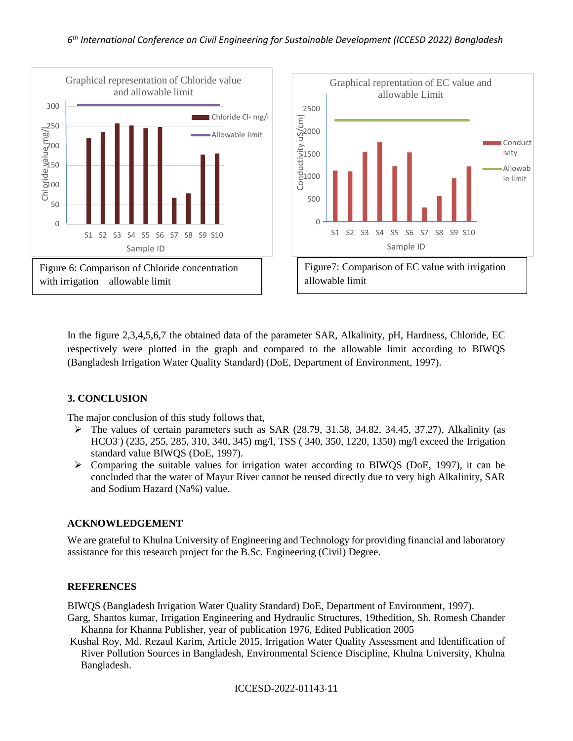

In the figure 2,3,4,5,6,7 the obtained data of the parameter SAR, Alkalinity, pH, Hardness, Chloride, EC respectively were plotted in the graph and compared to the allowable limit according to BIWQS (Bangladesh Irrigation Water Quality Standard) (DoE, Department of Environment, 1997).

# **3. CONCLUSION**

The major conclusion of this study follows that,

- $\triangleright$  The values of certain parameters such as SAR (28.79, 31.58, 34.82, 34.45, 37.27), Alkalinity (as HCO3- ) (235, 255, 285, 310, 340, 345) mg/l, TSS ( 340, 350, 1220, 1350) mg/l exceed the Irrigation standard value BIWQS (DoE, 1997).
- $\triangleright$  Comparing the suitable values for irrigation water according to BIWQS (DoE, 1997), it can be concluded that the water of Mayur River cannot be reused directly due to very high Alkalinity, SAR and Sodium Hazard (Na%) value.

# **ACKNOWLEDGEMENT**

We are grateful to Khulna University of Engineering and Technology for providing financial and laboratory assistance for this research project for the B.Sc. Engineering (Civil) Degree.

## **REFERENCES**

BIWQS (Bangladesh Irrigation Water Quality Standard) DoE, Department of Environment, 1997).

- Garg, Shantos kumar, Irrigation Engineering and Hydraulic Structures, 19thedition, Sh. Romesh Chander Khanna for Khanna Publisher, year of publication 1976, Edited Publication 2005
- Kushal Roy, Md. Rezaul Karim, Article 2015, Irrigation Water Quality Assessment and Identification of River Pollution Sources in Bangladesh, Environmental Science Discipline, Khulna University, Khulna Bangladesh.

ICCESD-2022-01143-11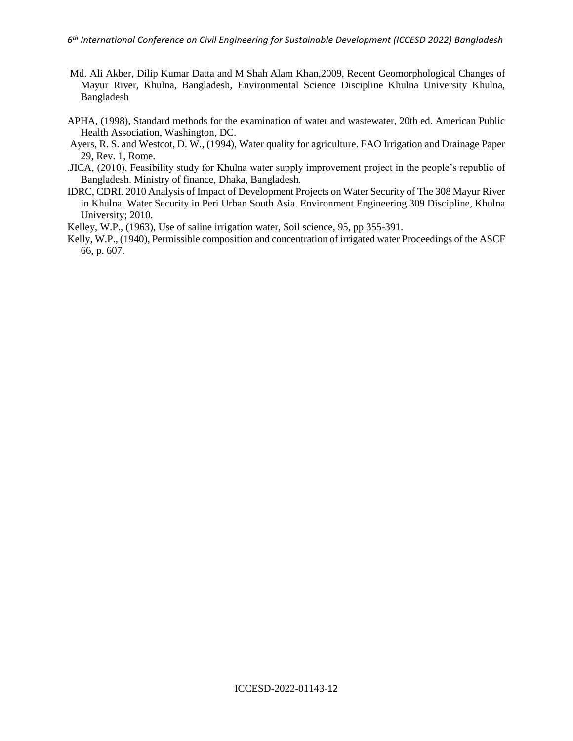- Md. Ali Akber, Dilip Kumar Datta and M Shah Alam Khan,2009, Recent Geomorphological Changes of Mayur River, Khulna, Bangladesh, Environmental Science Discipline Khulna University Khulna, Bangladesh
- APHA, (1998), Standard methods for the examination of water and wastewater, 20th ed. American Public Health Association, Washington, DC.
- Ayers, R. S. and Westcot, D. W., (1994), Water quality for agriculture. FAO Irrigation and Drainage Paper 29, Rev. 1, Rome.
- .JICA, (2010), Feasibility study for Khulna water supply improvement project in the people's republic of Bangladesh. Ministry of finance, Dhaka, Bangladesh.
- IDRC, CDRI. 2010 Analysis of Impact of Development Projects on Water Security of The 308 Mayur River in Khulna. Water Security in Peri Urban South Asia. Environment Engineering 309 Discipline, Khulna University; 2010.
- Kelley, W.P., (1963), Use of saline irrigation water, Soil science, 95, pp 355-391.
- Kelly, W.P., (1940), Permissible composition and concentration of irrigated water Proceedings of the ASCF 66, p. 607.